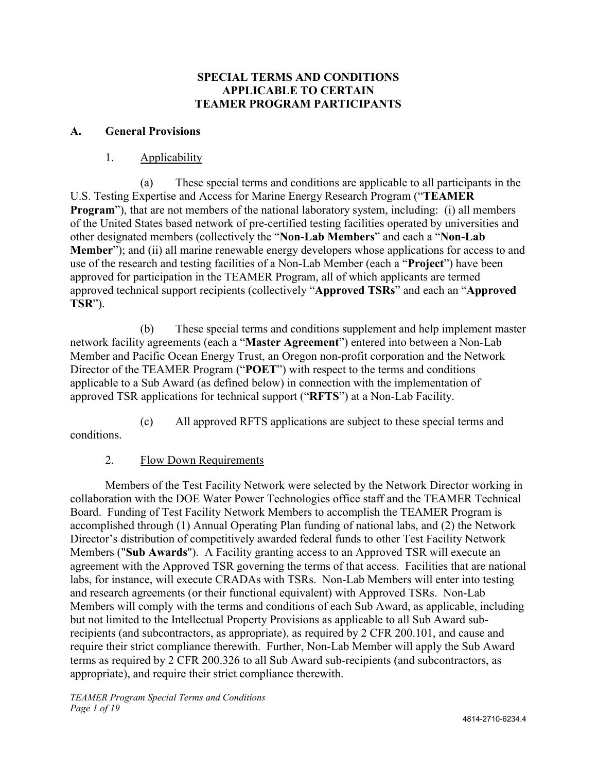# **SPECIAL TERMS AND CONDITIONS APPLICABLE TO CERTAIN TEAMER PROGRAM PARTICIPANTS**

#### **A. General Provisions**

## 1. Applicability

(a) These special terms and conditions are applicable to all participants in the U.S. Testing Expertise and Access for Marine Energy Research Program ("**TEAMER Program**"), that are not members of the national laboratory system, including: (i) all members of the United States based network of pre-certified testing facilities operated by universities and other designated members (collectively the "**Non-Lab Members**" and each a "**Non-Lab Member**"); and (ii) all marine renewable energy developers whose applications for access to and use of the research and testing facilities of a Non-Lab Member (each a "**Project**") have been approved for participation in the TEAMER Program, all of which applicants are termed approved technical support recipients (collectively "**Approved TSRs**" and each an "**Approved TSR**").

(b) These special terms and conditions supplement and help implement master network facility agreements (each a "**Master Agreement**") entered into between a Non-Lab Member and Pacific Ocean Energy Trust, an Oregon non-profit corporation and the Network Director of the TEAMER Program ("**POET**") with respect to the terms and conditions applicable to a Sub Award (as defined below) in connection with the implementation of approved TSR applications for technical support ("**RFTS**") at a Non-Lab Facility.

(c) All approved RFTS applications are subject to these special terms and conditions.

# 2. Flow Down Requirements

Members of the Test Facility Network were selected by the Network Director working in collaboration with the DOE Water Power Technologies office staff and the TEAMER Technical Board. Funding of Test Facility Network Members to accomplish the TEAMER Program is accomplished through (1) Annual Operating Plan funding of national labs, and (2) the Network Director's distribution of competitively awarded federal funds to other Test Facility Network Members ("**Sub Awards**"). A Facility granting access to an Approved TSR will execute an agreement with the Approved TSR governing the terms of that access. Facilities that are national labs, for instance, will execute CRADAs with TSRs. Non-Lab Members will enter into testing and research agreements (or their functional equivalent) with Approved TSRs. Non-Lab Members will comply with the terms and conditions of each Sub Award, as applicable, including but not limited to the Intellectual Property Provisions as applicable to all Sub Award subrecipients (and subcontractors, as appropriate), as required by 2 CFR 200.101, and cause and require their strict compliance therewith. Further, Non-Lab Member will apply the Sub Award terms as required by 2 CFR 200.326 to all Sub Award sub-recipients (and subcontractors, as appropriate), and require their strict compliance therewith.

*TEAMER Program Special Terms and Conditions Page 1 of 19*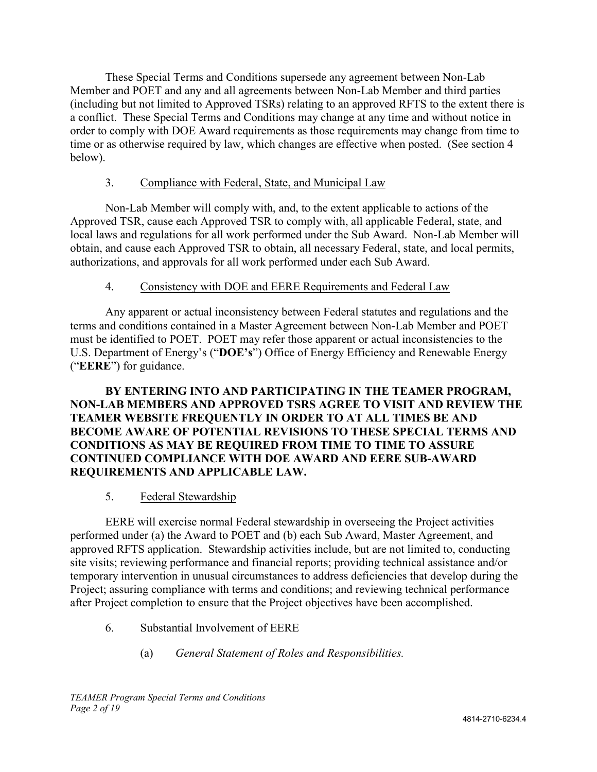These Special Terms and Conditions supersede any agreement between Non-Lab Member and POET and any and all agreements between Non-Lab Member and third parties (including but not limited to Approved TSRs) relating to an approved RFTS to the extent there is a conflict. These Special Terms and Conditions may change at any time and without notice in order to comply with DOE Award requirements as those requirements may change from time to time or as otherwise required by law, which changes are effective when posted. (See section 4 below).

# 3. Compliance with Federal, State, and Municipal Law

Non-Lab Member will comply with, and, to the extent applicable to actions of the Approved TSR, cause each Approved TSR to comply with, all applicable Federal, state, and local laws and regulations for all work performed under the Sub Award. Non-Lab Member will obtain, and cause each Approved TSR to obtain, all necessary Federal, state, and local permits, authorizations, and approvals for all work performed under each Sub Award.

# 4. Consistency with DOE and EERE Requirements and Federal Law

Any apparent or actual inconsistency between Federal statutes and regulations and the terms and conditions contained in a Master Agreement between Non-Lab Member and POET must be identified to POET. POET may refer those apparent or actual inconsistencies to the U.S. Department of Energy's ("**DOE's**") Office of Energy Efficiency and Renewable Energy ("**EERE**") for guidance.

**BY ENTERING INTO AND PARTICIPATING IN THE TEAMER PROGRAM, NON-LAB MEMBERS AND APPROVED TSRS AGREE TO VISIT AND REVIEW THE TEAMER WEBSITE FREQUENTLY IN ORDER TO AT ALL TIMES BE AND BECOME AWARE OF POTENTIAL REVISIONS TO THESE SPECIAL TERMS AND CONDITIONS AS MAY BE REQUIRED FROM TIME TO TIME TO ASSURE CONTINUED COMPLIANCE WITH DOE AWARD AND EERE SUB-AWARD REQUIREMENTS AND APPLICABLE LAW.**

# 5. Federal Stewardship

EERE will exercise normal Federal stewardship in overseeing the Project activities performed under (a) the Award to POET and (b) each Sub Award, Master Agreement, and approved RFTS application. Stewardship activities include, but are not limited to, conducting site visits; reviewing performance and financial reports; providing technical assistance and/or temporary intervention in unusual circumstances to address deficiencies that develop during the Project; assuring compliance with terms and conditions; and reviewing technical performance after Project completion to ensure that the Project objectives have been accomplished.

- 6. Substantial Involvement of EERE
	- (a) *General Statement of Roles and Responsibilities.*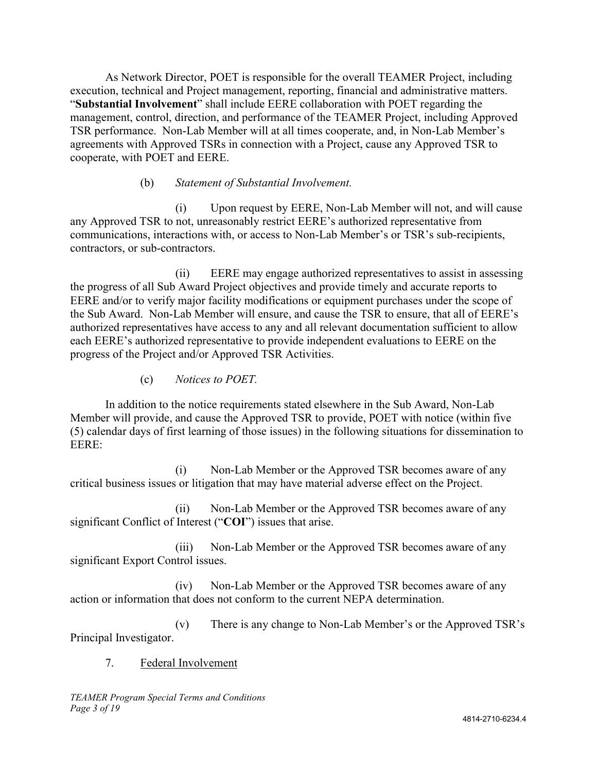As Network Director, POET is responsible for the overall TEAMER Project, including execution, technical and Project management, reporting, financial and administrative matters. "**Substantial Involvement**" shall include EERE collaboration with POET regarding the management, control, direction, and performance of the TEAMER Project, including Approved TSR performance. Non-Lab Member will at all times cooperate, and, in Non-Lab Member's agreements with Approved TSRs in connection with a Project, cause any Approved TSR to cooperate, with POET and EERE.

#### (b) *Statement of Substantial Involvement.*

(i) Upon request by EERE, Non-Lab Member will not, and will cause any Approved TSR to not, unreasonably restrict EERE's authorized representative from communications, interactions with, or access to Non-Lab Member's or TSR's sub-recipients, contractors, or sub-contractors.

(ii) EERE may engage authorized representatives to assist in assessing the progress of all Sub Award Project objectives and provide timely and accurate reports to EERE and/or to verify major facility modifications or equipment purchases under the scope of the Sub Award. Non-Lab Member will ensure, and cause the TSR to ensure, that all of EERE's authorized representatives have access to any and all relevant documentation sufficient to allow each EERE's authorized representative to provide independent evaluations to EERE on the progress of the Project and/or Approved TSR Activities.

(c) *Notices to POET.*

In addition to the notice requirements stated elsewhere in the Sub Award, Non-Lab Member will provide, and cause the Approved TSR to provide, POET with notice (within five (5) calendar days of first learning of those issues) in the following situations for dissemination to EERE:

(i) Non-Lab Member or the Approved TSR becomes aware of any critical business issues or litigation that may have material adverse effect on the Project.

(ii) Non-Lab Member or the Approved TSR becomes aware of any significant Conflict of Interest ("**COI**") issues that arise.

(iii) Non-Lab Member or the Approved TSR becomes aware of any significant Export Control issues.

(iv) Non-Lab Member or the Approved TSR becomes aware of any action or information that does not conform to the current NEPA determination.

(v) There is any change to Non-Lab Member's or the Approved TSR's Principal Investigator.

#### 7. Federal Involvement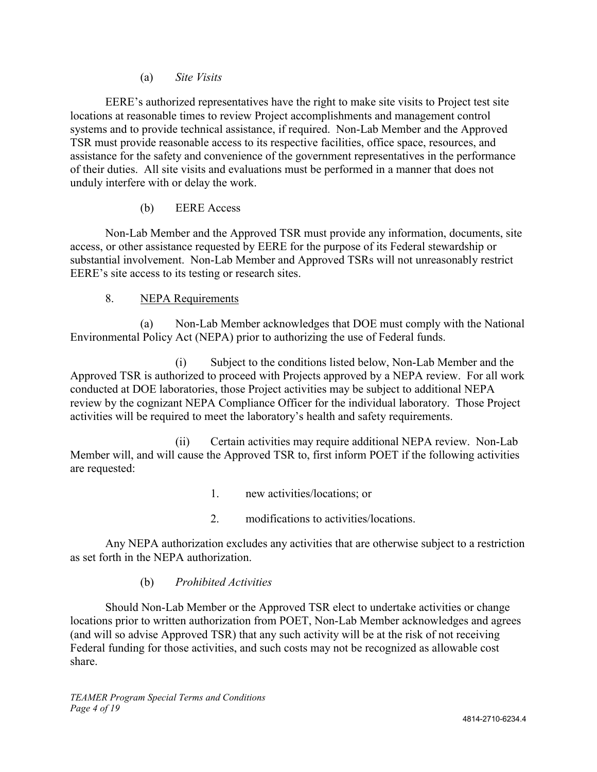(a) *Site Visits*

EERE's authorized representatives have the right to make site visits to Project test site locations at reasonable times to review Project accomplishments and management control systems and to provide technical assistance, if required. Non-Lab Member and the Approved TSR must provide reasonable access to its respective facilities, office space, resources, and assistance for the safety and convenience of the government representatives in the performance of their duties. All site visits and evaluations must be performed in a manner that does not unduly interfere with or delay the work.

# (b) EERE Access

Non-Lab Member and the Approved TSR must provide any information, documents, site access, or other assistance requested by EERE for the purpose of its Federal stewardship or substantial involvement. Non-Lab Member and Approved TSRs will not unreasonably restrict EERE's site access to its testing or research sites.

# 8. NEPA Requirements

(a) Non-Lab Member acknowledges that DOE must comply with the National Environmental Policy Act (NEPA) prior to authorizing the use of Federal funds.

(i) Subject to the conditions listed below, Non-Lab Member and the Approved TSR is authorized to proceed with Projects approved by a NEPA review. For all work conducted at DOE laboratories, those Project activities may be subject to additional NEPA review by the cognizant NEPA Compliance Officer for the individual laboratory. Those Project activities will be required to meet the laboratory's health and safety requirements.

(ii) Certain activities may require additional NEPA review. Non-Lab Member will, and will cause the Approved TSR to, first inform POET if the following activities are requested:

- 1. new activities/locations; or
- 2. modifications to activities/locations.

Any NEPA authorization excludes any activities that are otherwise subject to a restriction as set forth in the NEPA authorization.

# (b) *Prohibited Activities*

Should Non-Lab Member or the Approved TSR elect to undertake activities or change locations prior to written authorization from POET, Non-Lab Member acknowledges and agrees (and will so advise Approved TSR) that any such activity will be at the risk of not receiving Federal funding for those activities, and such costs may not be recognized as allowable cost share.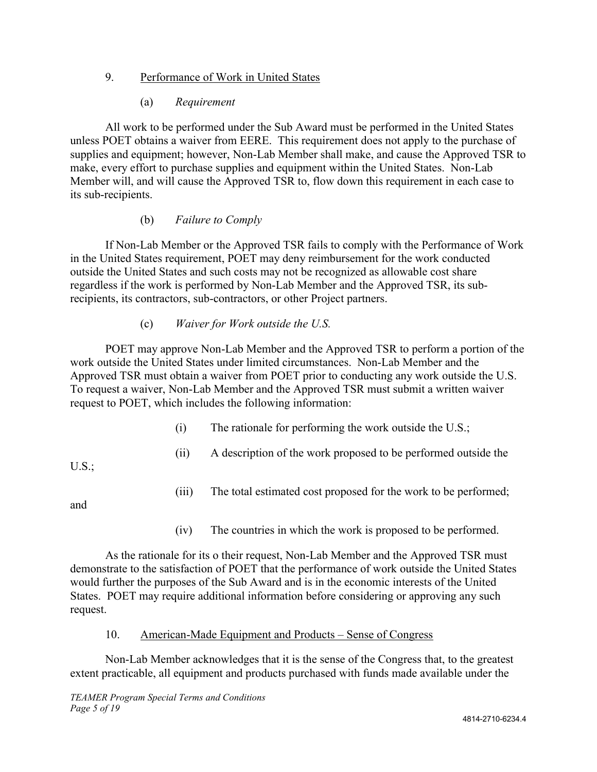# 9. Performance of Work in United States

#### (a) *Requirement*

All work to be performed under the Sub Award must be performed in the United States unless POET obtains a waiver from EERE. This requirement does not apply to the purchase of supplies and equipment; however, Non-Lab Member shall make, and cause the Approved TSR to make, every effort to purchase supplies and equipment within the United States. Non-Lab Member will, and will cause the Approved TSR to, flow down this requirement in each case to its sub-recipients.

#### (b) *Failure to Comply*

If Non-Lab Member or the Approved TSR fails to comply with the Performance of Work in the United States requirement, POET may deny reimbursement for the work conducted outside the United States and such costs may not be recognized as allowable cost share regardless if the work is performed by Non-Lab Member and the Approved TSR, its subrecipients, its contractors, sub-contractors, or other Project partners.

#### (c) *Waiver for Work outside the U.S.*

POET may approve Non-Lab Member and the Approved TSR to perform a portion of the work outside the United States under limited circumstances. Non-Lab Member and the Approved TSR must obtain a waiver from POET prior to conducting any work outside the U.S. To request a waiver, Non-Lab Member and the Approved TSR must submit a written waiver request to POET, which includes the following information:

- (i) The rationale for performing the work outside the U.S.;
- (ii) A description of the work proposed to be performed outside the

U.S.;

(iii) The total estimated cost proposed for the work to be performed;

and

(iv) The countries in which the work is proposed to be performed.

As the rationale for its o their request, Non-Lab Member and the Approved TSR must demonstrate to the satisfaction of POET that the performance of work outside the United States would further the purposes of the Sub Award and is in the economic interests of the United States. POET may require additional information before considering or approving any such request.

#### 10. American-Made Equipment and Products – Sense of Congress

Non-Lab Member acknowledges that it is the sense of the Congress that, to the greatest extent practicable, all equipment and products purchased with funds made available under the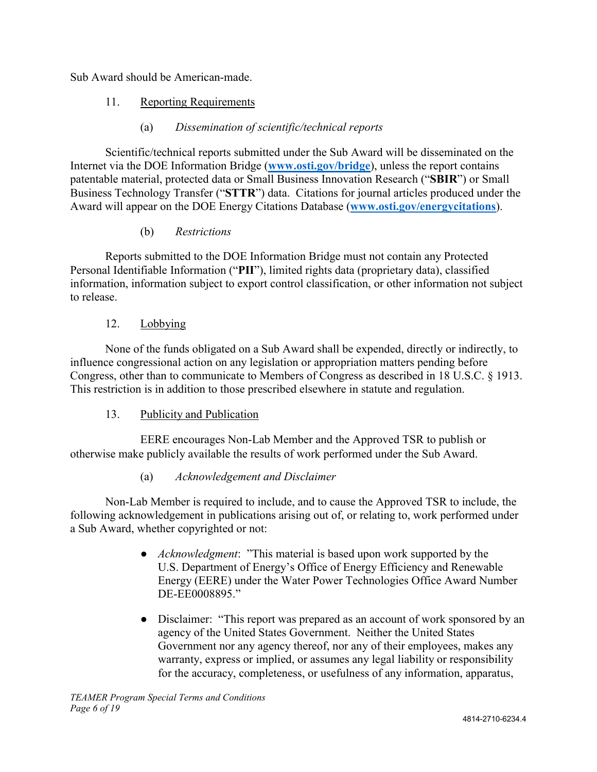Sub Award should be American-made.

# 11. Reporting Requirements

## (a) *Dissemination of scientific/technical reports*

Scientific/technical reports submitted under the Sub Award will be disseminated on the Internet via the DOE Information Bridge (**www.osti.gov/bridge**), unless the report contains patentable material, protected data or Small Business Innovation Research ("**SBIR**") or Small Business Technology Transfer ("**STTR**") data. Citations for journal articles produced under the Award will appear on the DOE Energy Citations Database (**www.osti.gov/energycitations**).

#### (b) *Restrictions*

Reports submitted to the DOE Information Bridge must not contain any Protected Personal Identifiable Information ("**PII**"), limited rights data (proprietary data), classified information, information subject to export control classification, or other information not subject to release.

#### 12. Lobbying

None of the funds obligated on a Sub Award shall be expended, directly or indirectly, to influence congressional action on any legislation or appropriation matters pending before Congress, other than to communicate to Members of Congress as described in 18 U.S.C. § 1913. This restriction is in addition to those prescribed elsewhere in statute and regulation.

# 13. Publicity and Publication

EERE encourages Non-Lab Member and the Approved TSR to publish or otherwise make publicly available the results of work performed under the Sub Award.

# (a) *Acknowledgement and Disclaimer*

Non-Lab Member is required to include, and to cause the Approved TSR to include, the following acknowledgement in publications arising out of, or relating to, work performed under a Sub Award, whether copyrighted or not:

- *Acknowledgment*: "This material is based upon work supported by the U.S. Department of Energy's Office of Energy Efficiency and Renewable Energy (EERE) under the Water Power Technologies Office Award Number DE-EE0008895."
- Disclaimer: "This report was prepared as an account of work sponsored by an agency of the United States Government. Neither the United States Government nor any agency thereof, nor any of their employees, makes any warranty, express or implied, or assumes any legal liability or responsibility for the accuracy, completeness, or usefulness of any information, apparatus,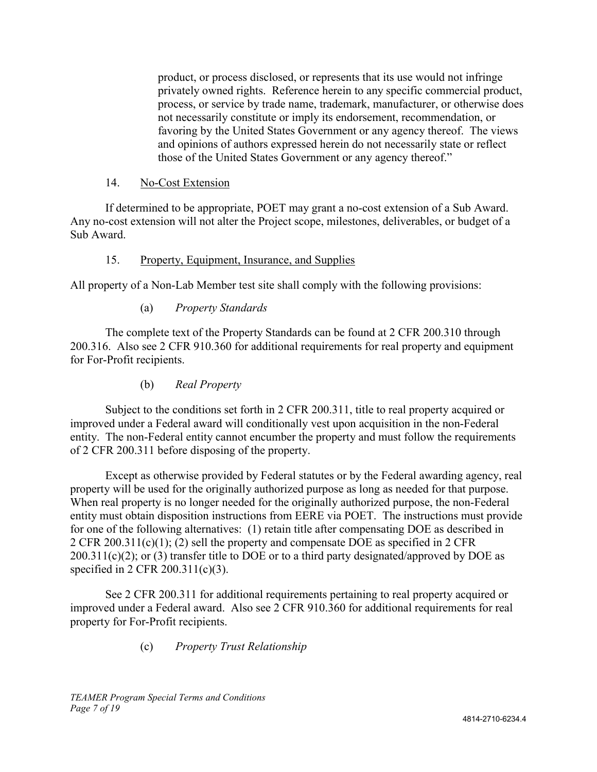product, or process disclosed, or represents that its use would not infringe privately owned rights. Reference herein to any specific commercial product, process, or service by trade name, trademark, manufacturer, or otherwise does not necessarily constitute or imply its endorsement, recommendation, or favoring by the United States Government or any agency thereof. The views and opinions of authors expressed herein do not necessarily state or reflect those of the United States Government or any agency thereof."

## 14. No-Cost Extension

If determined to be appropriate, POET may grant a no-cost extension of a Sub Award. Any no-cost extension will not alter the Project scope, milestones, deliverables, or budget of a Sub Award.

#### 15. Property, Equipment, Insurance, and Supplies

All property of a Non-Lab Member test site shall comply with the following provisions:

# (a) *Property Standards*

The complete text of the Property Standards can be found at 2 CFR 200.310 through 200.316. Also see 2 CFR 910.360 for additional requirements for real property and equipment for For-Profit recipients.

# (b) *Real Property*

Subject to the conditions set forth in 2 CFR 200.311, title to real property acquired or improved under a Federal award will conditionally vest upon acquisition in the non-Federal entity. The non-Federal entity cannot encumber the property and must follow the requirements of 2 CFR 200.311 before disposing of the property.

Except as otherwise provided by Federal statutes or by the Federal awarding agency, real property will be used for the originally authorized purpose as long as needed for that purpose. When real property is no longer needed for the originally authorized purpose, the non-Federal entity must obtain disposition instructions from EERE via POET. The instructions must provide for one of the following alternatives: (1) retain title after compensating DOE as described in 2 CFR 200.311(c)(1); (2) sell the property and compensate DOE as specified in 2 CFR  $200.311(c)(2)$ ; or (3) transfer title to DOE or to a third party designated/approved by DOE as specified in 2 CFR 200.311(c)(3).

See 2 CFR 200.311 for additional requirements pertaining to real property acquired or improved under a Federal award. Also see 2 CFR 910.360 for additional requirements for real property for For-Profit recipients.

(c) *Property Trust Relationship*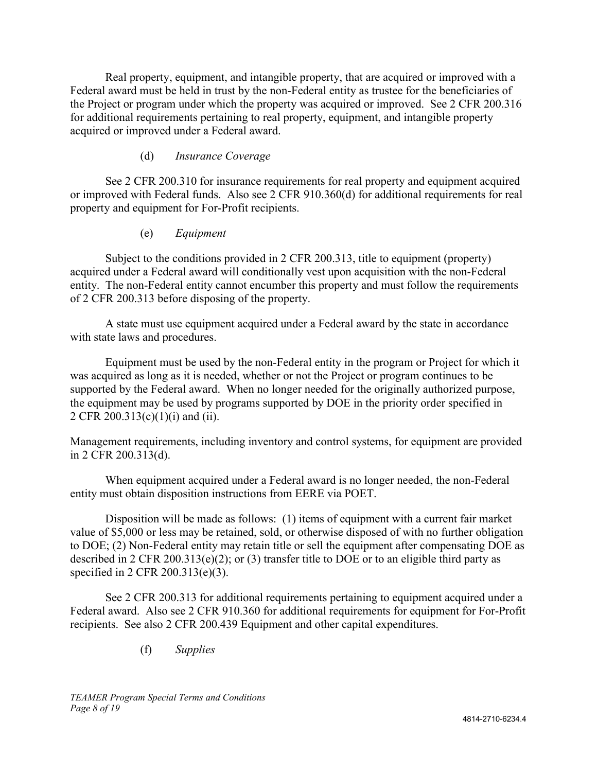Real property, equipment, and intangible property, that are acquired or improved with a Federal award must be held in trust by the non-Federal entity as trustee for the beneficiaries of the Project or program under which the property was acquired or improved. See 2 CFR 200.316 for additional requirements pertaining to real property, equipment, and intangible property acquired or improved under a Federal award.

# (d) *Insurance Coverage*

See 2 CFR 200.310 for insurance requirements for real property and equipment acquired or improved with Federal funds. Also see 2 CFR 910.360(d) for additional requirements for real property and equipment for For-Profit recipients.

# (e) *Equipment*

Subject to the conditions provided in 2 CFR 200.313, title to equipment (property) acquired under a Federal award will conditionally vest upon acquisition with the non-Federal entity. The non-Federal entity cannot encumber this property and must follow the requirements of 2 CFR 200.313 before disposing of the property.

A state must use equipment acquired under a Federal award by the state in accordance with state laws and procedures.

Equipment must be used by the non-Federal entity in the program or Project for which it was acquired as long as it is needed, whether or not the Project or program continues to be supported by the Federal award. When no longer needed for the originally authorized purpose, the equipment may be used by programs supported by DOE in the priority order specified in 2 CFR 200.313(c)(1)(i) and (ii).

Management requirements, including inventory and control systems, for equipment are provided in 2 CFR 200.313(d).

When equipment acquired under a Federal award is no longer needed, the non-Federal entity must obtain disposition instructions from EERE via POET.

Disposition will be made as follows: (1) items of equipment with a current fair market value of \$5,000 or less may be retained, sold, or otherwise disposed of with no further obligation to DOE; (2) Non-Federal entity may retain title or sell the equipment after compensating DOE as described in 2 CFR 200.313(e)(2); or (3) transfer title to DOE or to an eligible third party as specified in 2 CFR 200.313(e)(3).

See 2 CFR 200.313 for additional requirements pertaining to equipment acquired under a Federal award. Also see 2 CFR 910.360 for additional requirements for equipment for For-Profit recipients. See also 2 CFR 200.439 Equipment and other capital expenditures.

(f) *Supplies*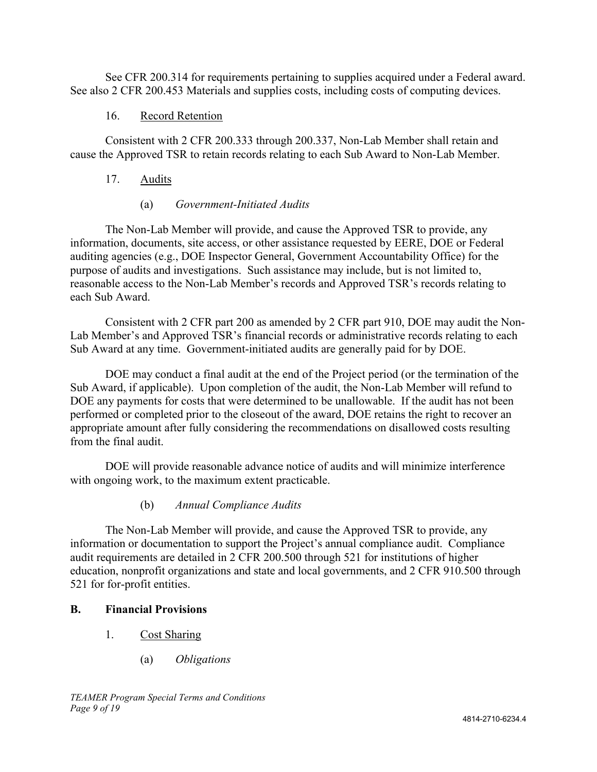See CFR 200.314 for requirements pertaining to supplies acquired under a Federal award. See also 2 CFR 200.453 Materials and supplies costs, including costs of computing devices.

#### 16. Record Retention

Consistent with 2 CFR 200.333 through 200.337, Non-Lab Member shall retain and cause the Approved TSR to retain records relating to each Sub Award to Non-Lab Member.

#### 17. Audits

#### (a) *Government-Initiated Audits*

The Non-Lab Member will provide, and cause the Approved TSR to provide, any information, documents, site access, or other assistance requested by EERE, DOE or Federal auditing agencies (e.g., DOE Inspector General, Government Accountability Office) for the purpose of audits and investigations. Such assistance may include, but is not limited to, reasonable access to the Non-Lab Member's records and Approved TSR's records relating to each Sub Award.

Consistent with 2 CFR part 200 as amended by 2 CFR part 910, DOE may audit the Non-Lab Member's and Approved TSR's financial records or administrative records relating to each Sub Award at any time. Government-initiated audits are generally paid for by DOE.

DOE may conduct a final audit at the end of the Project period (or the termination of the Sub Award, if applicable). Upon completion of the audit, the Non-Lab Member will refund to DOE any payments for costs that were determined to be unallowable. If the audit has not been performed or completed prior to the closeout of the award, DOE retains the right to recover an appropriate amount after fully considering the recommendations on disallowed costs resulting from the final audit.

DOE will provide reasonable advance notice of audits and will minimize interference with ongoing work, to the maximum extent practicable.

(b) *Annual Compliance Audits*

The Non-Lab Member will provide, and cause the Approved TSR to provide, any information or documentation to support the Project's annual compliance audit. Compliance audit requirements are detailed in 2 CFR 200.500 through 521 for institutions of higher education, nonprofit organizations and state and local governments, and 2 CFR 910.500 through 521 for for-profit entities.

#### **B. Financial Provisions**

- 1. Cost Sharing
	- (a) *Obligations*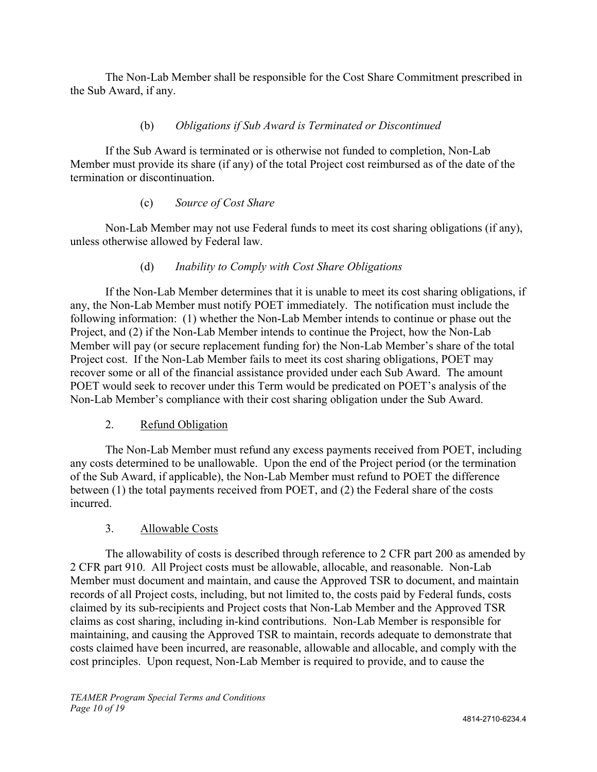The Non-Lab Member shall be responsible for the Cost Share Commitment prescribed in the Sub Award, if any.

# (b) *Obligations if Sub Award is Terminated or Discontinued*

If the Sub Award is terminated or is otherwise not funded to completion, Non-Lab Member must provide its share (if any) of the total Project cost reimbursed as of the date of the termination or discontinuation.

# (c) *Source of Cost Share*

Non-Lab Member may not use Federal funds to meet its cost sharing obligations (if any), unless otherwise allowed by Federal law.

# (d) *Inability to Comply with Cost Share Obligations*

If the Non-Lab Member determines that it is unable to meet its cost sharing obligations, if any, the Non-Lab Member must notify POET immediately. The notification must include the following information: (1) whether the Non-Lab Member intends to continue or phase out the Project, and (2) if the Non-Lab Member intends to continue the Project, how the Non-Lab Member will pay (or secure replacement funding for) the Non-Lab Member's share of the total Project cost. If the Non-Lab Member fails to meet its cost sharing obligations, POET may recover some or all of the financial assistance provided under each Sub Award. The amount POET would seek to recover under this Term would be predicated on POET's analysis of the Non-Lab Member's compliance with their cost sharing obligation under the Sub Award.

# 2. Refund Obligation

The Non-Lab Member must refund any excess payments received from POET, including any costs determined to be unallowable. Upon the end of the Project period (or the termination of the Sub Award, if applicable), the Non-Lab Member must refund to POET the difference between (1) the total payments received from POET, and (2) the Federal share of the costs incurred.

# 3. Allowable Costs

The allowability of costs is described through reference to 2 CFR part 200 as amended by 2 CFR part 910. All Project costs must be allowable, allocable, and reasonable. Non-Lab Member must document and maintain, and cause the Approved TSR to document, and maintain records of all Project costs, including, but not limited to, the costs paid by Federal funds, costs claimed by its sub-recipients and Project costs that Non-Lab Member and the Approved TSR claims as cost sharing, including in-kind contributions. Non-Lab Member is responsible for maintaining, and causing the Approved TSR to maintain, records adequate to demonstrate that costs claimed have been incurred, are reasonable, allowable and allocable, and comply with the cost principles. Upon request, Non-Lab Member is required to provide, and to cause the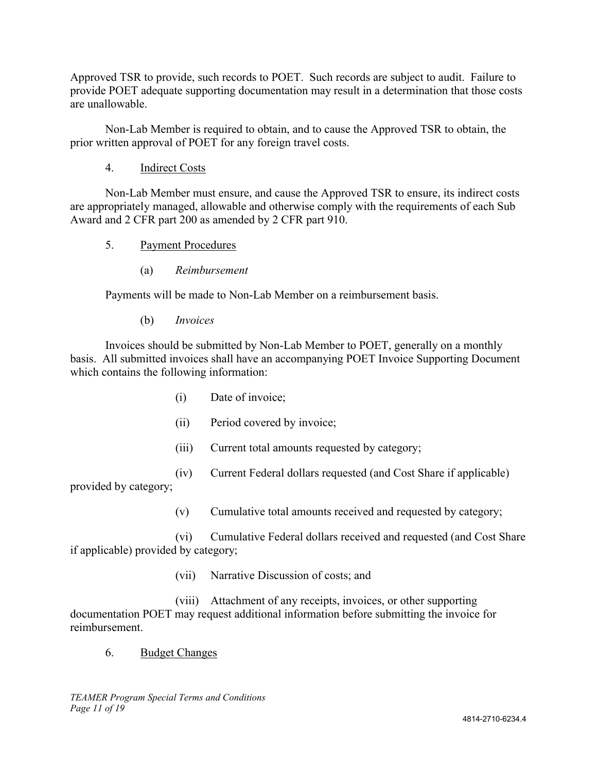Approved TSR to provide, such records to POET. Such records are subject to audit. Failure to provide POET adequate supporting documentation may result in a determination that those costs are unallowable.

Non-Lab Member is required to obtain, and to cause the Approved TSR to obtain, the prior written approval of POET for any foreign travel costs.

## 4. Indirect Costs

Non-Lab Member must ensure, and cause the Approved TSR to ensure, its indirect costs are appropriately managed, allowable and otherwise comply with the requirements of each Sub Award and 2 CFR part 200 as amended by 2 CFR part 910.

- 5. Payment Procedures
	- (a) *Reimbursement*

Payments will be made to Non-Lab Member on a reimbursement basis.

(b) *Invoices*

Invoices should be submitted by Non-Lab Member to POET, generally on a monthly basis. All submitted invoices shall have an accompanying POET Invoice Supporting Document which contains the following information:

- (i) Date of invoice;
- (ii) Period covered by invoice;
- (iii) Current total amounts requested by category;
- (iv) Current Federal dollars requested (and Cost Share if applicable)

provided by category;

(v) Cumulative total amounts received and requested by category;

(vi) Cumulative Federal dollars received and requested (and Cost Share if applicable) provided by category;

(vii) Narrative Discussion of costs; and

(viii) Attachment of any receipts, invoices, or other supporting documentation POET may request additional information before submitting the invoice for reimbursement.

#### 6. Budget Changes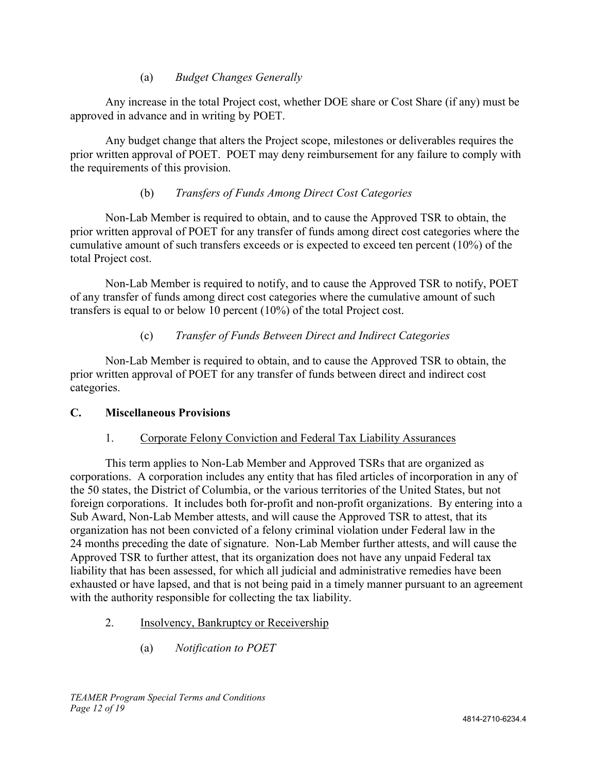## (a) *Budget Changes Generally*

Any increase in the total Project cost, whether DOE share or Cost Share (if any) must be approved in advance and in writing by POET.

Any budget change that alters the Project scope, milestones or deliverables requires the prior written approval of POET. POET may deny reimbursement for any failure to comply with the requirements of this provision.

#### (b) *Transfers of Funds Among Direct Cost Categories*

Non-Lab Member is required to obtain, and to cause the Approved TSR to obtain, the prior written approval of POET for any transfer of funds among direct cost categories where the cumulative amount of such transfers exceeds or is expected to exceed ten percent (10%) of the total Project cost.

Non-Lab Member is required to notify, and to cause the Approved TSR to notify, POET of any transfer of funds among direct cost categories where the cumulative amount of such transfers is equal to or below 10 percent (10%) of the total Project cost.

# (c) *Transfer of Funds Between Direct and Indirect Categories*

Non-Lab Member is required to obtain, and to cause the Approved TSR to obtain, the prior written approval of POET for any transfer of funds between direct and indirect cost categories.

# **C. Miscellaneous Provisions**

# 1. Corporate Felony Conviction and Federal Tax Liability Assurances

This term applies to Non-Lab Member and Approved TSRs that are organized as corporations. A corporation includes any entity that has filed articles of incorporation in any of the 50 states, the District of Columbia, or the various territories of the United States, but not foreign corporations. It includes both for-profit and non-profit organizations. By entering into a Sub Award, Non-Lab Member attests, and will cause the Approved TSR to attest, that its organization has not been convicted of a felony criminal violation under Federal law in the 24 months preceding the date of signature. Non-Lab Member further attests, and will cause the Approved TSR to further attest, that its organization does not have any unpaid Federal tax liability that has been assessed, for which all judicial and administrative remedies have been exhausted or have lapsed, and that is not being paid in a timely manner pursuant to an agreement with the authority responsible for collecting the tax liability.

- 2. Insolvency, Bankruptcy or Receivership
	- (a) *Notification to POET*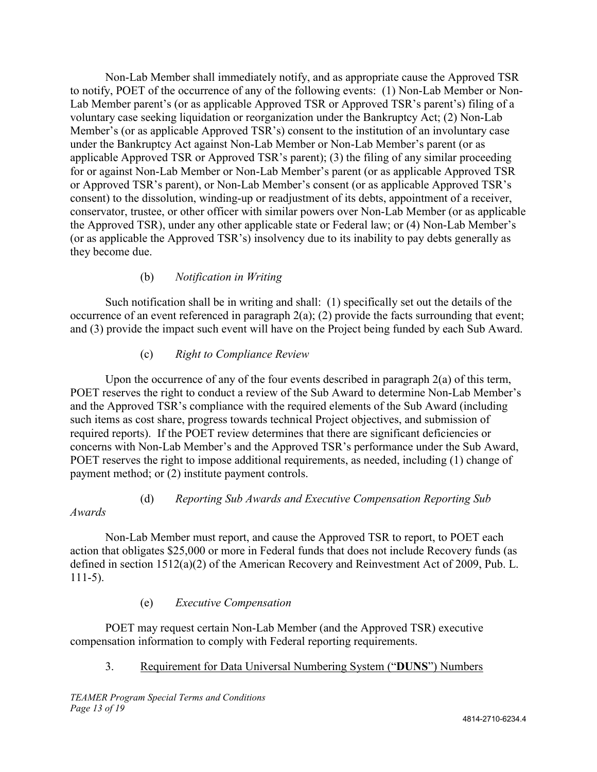Non-Lab Member shall immediately notify, and as appropriate cause the Approved TSR to notify, POET of the occurrence of any of the following events: (1) Non-Lab Member or Non-Lab Member parent's (or as applicable Approved TSR or Approved TSR's parent's) filing of a voluntary case seeking liquidation or reorganization under the Bankruptcy Act; (2) Non-Lab Member's (or as applicable Approved TSR's) consent to the institution of an involuntary case under the Bankruptcy Act against Non-Lab Member or Non-Lab Member's parent (or as applicable Approved TSR or Approved TSR's parent); (3) the filing of any similar proceeding for or against Non-Lab Member or Non-Lab Member's parent (or as applicable Approved TSR or Approved TSR's parent), or Non-Lab Member's consent (or as applicable Approved TSR's consent) to the dissolution, winding-up or readjustment of its debts, appointment of a receiver, conservator, trustee, or other officer with similar powers over Non-Lab Member (or as applicable the Approved TSR), under any other applicable state or Federal law; or (4) Non-Lab Member's (or as applicable the Approved TSR's) insolvency due to its inability to pay debts generally as they become due.

# (b) *Notification in Writing*

Such notification shall be in writing and shall: (1) specifically set out the details of the occurrence of an event referenced in paragraph  $2(a)$ ; (2) provide the facts surrounding that event; and (3) provide the impact such event will have on the Project being funded by each Sub Award.

# (c) *Right to Compliance Review*

Upon the occurrence of any of the four events described in paragraph 2(a) of this term, POET reserves the right to conduct a review of the Sub Award to determine Non-Lab Member's and the Approved TSR's compliance with the required elements of the Sub Award (including such items as cost share, progress towards technical Project objectives, and submission of required reports). If the POET review determines that there are significant deficiencies or concerns with Non-Lab Member's and the Approved TSR's performance under the Sub Award, POET reserves the right to impose additional requirements, as needed, including (1) change of payment method; or (2) institute payment controls.

# *Awards*

# (d) *Reporting Sub Awards and Executive Compensation Reporting Sub*

Non-Lab Member must report, and cause the Approved TSR to report, to POET each action that obligates \$25,000 or more in Federal funds that does not include Recovery funds (as defined in section 1512(a)(2) of the American Recovery and Reinvestment Act of 2009, Pub. L. 111-5).

# (e) *Executive Compensation*

POET may request certain Non-Lab Member (and the Approved TSR) executive compensation information to comply with Federal reporting requirements.

3. Requirement for Data Universal Numbering System ("**DUNS**") Numbers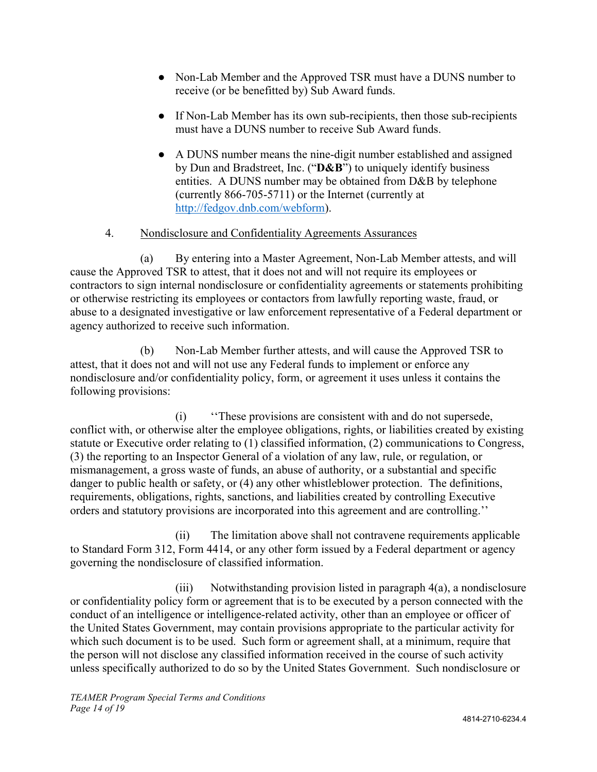- Non-Lab Member and the Approved TSR must have a DUNS number to receive (or be benefitted by) Sub Award funds.
- If Non-Lab Member has its own sub-recipients, then those sub-recipients must have a DUNS number to receive Sub Award funds.
- A DUNS number means the nine-digit number established and assigned by Dun and Bradstreet, Inc. ("**D&B**") to uniquely identify business entities. A DUNS number may be obtained from D&B by telephone (currently 866-705-5711) or the Internet (currently at http://fedgov.dnb.com/webform).

# 4. Nondisclosure and Confidentiality Agreements Assurances

(a) By entering into a Master Agreement, Non-Lab Member attests, and will cause the Approved TSR to attest, that it does not and will not require its employees or contractors to sign internal nondisclosure or confidentiality agreements or statements prohibiting or otherwise restricting its employees or contactors from lawfully reporting waste, fraud, or abuse to a designated investigative or law enforcement representative of a Federal department or agency authorized to receive such information.

(b) Non-Lab Member further attests, and will cause the Approved TSR to attest, that it does not and will not use any Federal funds to implement or enforce any nondisclosure and/or confidentiality policy, form, or agreement it uses unless it contains the following provisions:

(i) ''These provisions are consistent with and do not supersede, conflict with, or otherwise alter the employee obligations, rights, or liabilities created by existing statute or Executive order relating to (1) classified information, (2) communications to Congress, (3) the reporting to an Inspector General of a violation of any law, rule, or regulation, or mismanagement, a gross waste of funds, an abuse of authority, or a substantial and specific danger to public health or safety, or (4) any other whistleblower protection. The definitions, requirements, obligations, rights, sanctions, and liabilities created by controlling Executive orders and statutory provisions are incorporated into this agreement and are controlling.''

(ii) The limitation above shall not contravene requirements applicable to Standard Form 312, Form 4414, or any other form issued by a Federal department or agency governing the nondisclosure of classified information.

(iii) Notwithstanding provision listed in paragraph 4(a), a nondisclosure or confidentiality policy form or agreement that is to be executed by a person connected with the conduct of an intelligence or intelligence-related activity, other than an employee or officer of the United States Government, may contain provisions appropriate to the particular activity for which such document is to be used. Such form or agreement shall, at a minimum, require that the person will not disclose any classified information received in the course of such activity unless specifically authorized to do so by the United States Government. Such nondisclosure or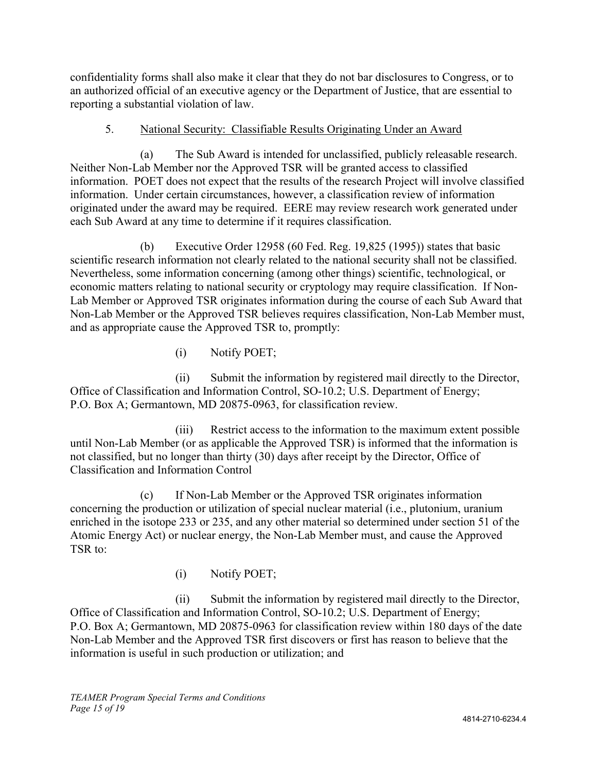confidentiality forms shall also make it clear that they do not bar disclosures to Congress, or to an authorized official of an executive agency or the Department of Justice, that are essential to reporting a substantial violation of law.

# 5. National Security: Classifiable Results Originating Under an Award

(a) The Sub Award is intended for unclassified, publicly releasable research. Neither Non-Lab Member nor the Approved TSR will be granted access to classified information. POET does not expect that the results of the research Project will involve classified information. Under certain circumstances, however, a classification review of information originated under the award may be required. EERE may review research work generated under each Sub Award at any time to determine if it requires classification.

(b) Executive Order 12958 (60 Fed. Reg. 19,825 (1995)) states that basic scientific research information not clearly related to the national security shall not be classified. Nevertheless, some information concerning (among other things) scientific, technological, or economic matters relating to national security or cryptology may require classification. If Non-Lab Member or Approved TSR originates information during the course of each Sub Award that Non-Lab Member or the Approved TSR believes requires classification, Non-Lab Member must, and as appropriate cause the Approved TSR to, promptly:

(i) Notify POET;

(ii) Submit the information by registered mail directly to the Director, Office of Classification and Information Control, SO-10.2; U.S. Department of Energy; P.O. Box A; Germantown, MD 20875-0963, for classification review.

(iii) Restrict access to the information to the maximum extent possible until Non-Lab Member (or as applicable the Approved TSR) is informed that the information is not classified, but no longer than thirty (30) days after receipt by the Director, Office of Classification and Information Control

(c) If Non-Lab Member or the Approved TSR originates information concerning the production or utilization of special nuclear material (i.e., plutonium, uranium enriched in the isotope 233 or 235, and any other material so determined under section 51 of the Atomic Energy Act) or nuclear energy, the Non-Lab Member must, and cause the Approved TSR to:

(i) Notify POET;

(ii) Submit the information by registered mail directly to the Director, Office of Classification and Information Control, SO-10.2; U.S. Department of Energy; P.O. Box A; Germantown, MD 20875-0963 for classification review within 180 days of the date Non-Lab Member and the Approved TSR first discovers or first has reason to believe that the information is useful in such production or utilization; and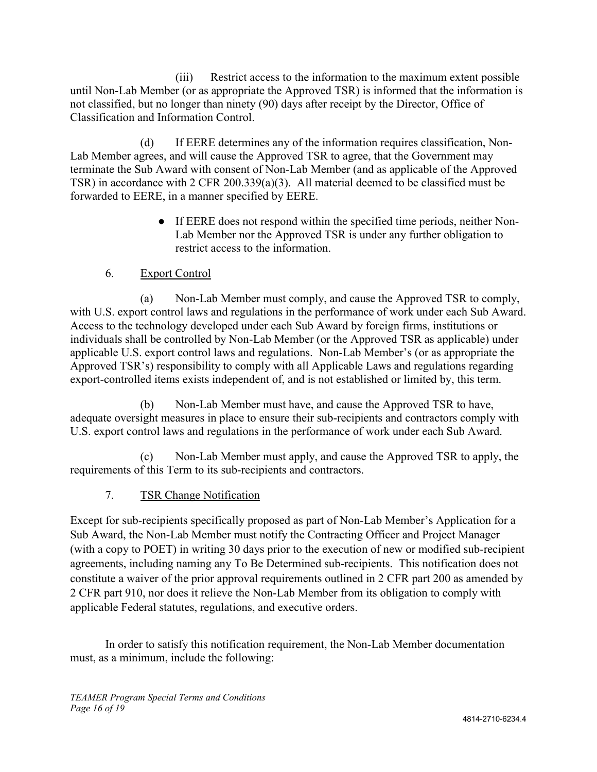(iii) Restrict access to the information to the maximum extent possible until Non-Lab Member (or as appropriate the Approved TSR) is informed that the information is not classified, but no longer than ninety (90) days after receipt by the Director, Office of Classification and Information Control.

(d) If EERE determines any of the information requires classification, Non-Lab Member agrees, and will cause the Approved TSR to agree, that the Government may terminate the Sub Award with consent of Non-Lab Member (and as applicable of the Approved TSR) in accordance with 2 CFR 200.339(a)(3). All material deemed to be classified must be forwarded to EERE, in a manner specified by EERE.

> ● If EERE does not respond within the specified time periods, neither Non-Lab Member nor the Approved TSR is under any further obligation to restrict access to the information.

# 6. Export Control

(a) Non-Lab Member must comply, and cause the Approved TSR to comply, with U.S. export control laws and regulations in the performance of work under each Sub Award. Access to the technology developed under each Sub Award by foreign firms, institutions or individuals shall be controlled by Non-Lab Member (or the Approved TSR as applicable) under applicable U.S. export control laws and regulations. Non-Lab Member's (or as appropriate the Approved TSR's) responsibility to comply with all Applicable Laws and regulations regarding export-controlled items exists independent of, and is not established or limited by, this term.

(b) Non-Lab Member must have, and cause the Approved TSR to have, adequate oversight measures in place to ensure their sub-recipients and contractors comply with U.S. export control laws and regulations in the performance of work under each Sub Award.

(c) Non-Lab Member must apply, and cause the Approved TSR to apply, the requirements of this Term to its sub-recipients and contractors.

# 7. TSR Change Notification

Except for sub-recipients specifically proposed as part of Non-Lab Member's Application for a Sub Award, the Non-Lab Member must notify the Contracting Officer and Project Manager (with a copy to POET) in writing 30 days prior to the execution of new or modified sub-recipient agreements, including naming any To Be Determined sub-recipients. This notification does not constitute a waiver of the prior approval requirements outlined in 2 CFR part 200 as amended by 2 CFR part 910, nor does it relieve the Non-Lab Member from its obligation to comply with applicable Federal statutes, regulations, and executive orders.

In order to satisfy this notification requirement, the Non-Lab Member documentation must, as a minimum, include the following: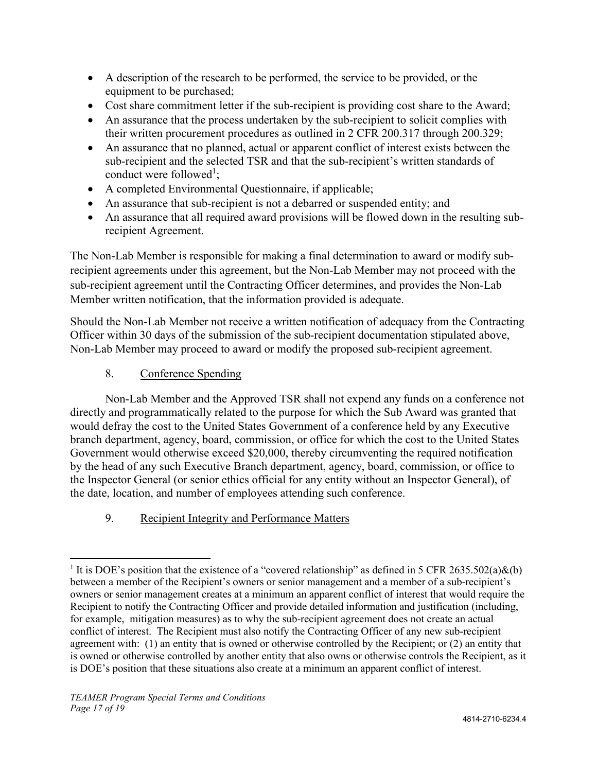- A description of the research to be performed, the service to be provided, or the equipment to be purchased;
- Cost share commitment letter if the sub-recipient is providing cost share to the Award;
- An assurance that the process undertaken by the sub-recipient to solicit complies with their written procurement procedures as outlined in 2 CFR 200.317 through 200.329;
- An assurance that no planned, actual or apparent conflict of interest exists between the sub-recipient and the selected TSR and that the sub-recipient's written standards of conduct were followed<sup>1</sup>;
- A completed Environmental Questionnaire, if applicable;
- An assurance that sub-recipient is not a debarred or suspended entity; and
- An assurance that all required award provisions will be flowed down in the resulting subrecipient Agreement.

The Non-Lab Member is responsible for making a final determination to award or modify subrecipient agreements under this agreement, but the Non-Lab Member may not proceed with the sub-recipient agreement until the Contracting Officer determines, and provides the Non-Lab Member written notification, that the information provided is adequate.

Should the Non-Lab Member not receive a written notification of adequacy from the Contracting Officer within 30 days of the submission of the sub-recipient documentation stipulated above, Non-Lab Member may proceed to award or modify the proposed sub-recipient agreement.

# 8. Conference Spending

Non-Lab Member and the Approved TSR shall not expend any funds on a conference not directly and programmatically related to the purpose for which the Sub Award was granted that would defray the cost to the United States Government of a conference held by any Executive branch department, agency, board, commission, or office for which the cost to the United States Government would otherwise exceed \$20,000, thereby circumventing the required notification by the head of any such Executive Branch department, agency, board, commission, or office to the Inspector General (or senior ethics official for any entity without an Inspector General), of the date, location, and number of employees attending such conference.

# 9. Recipient Integrity and Performance Matters

 $\overline{a}$ <sup>1</sup> It is DOE's position that the existence of a "covered relationship" as defined in 5 CFR 2635.502(a)&(b) between a member of the Recipient's owners or senior management and a member of a sub-recipient's owners or senior management creates at a minimum an apparent conflict of interest that would require the Recipient to notify the Contracting Officer and provide detailed information and justification (including, for example, mitigation measures) as to why the sub-recipient agreement does not create an actual conflict of interest. The Recipient must also notify the Contracting Officer of any new sub-recipient agreement with: (1) an entity that is owned or otherwise controlled by the Recipient; or (2) an entity that is owned or otherwise controlled by another entity that also owns or otherwise controls the Recipient, as it is DOE's position that these situations also create at a minimum an apparent conflict of interest.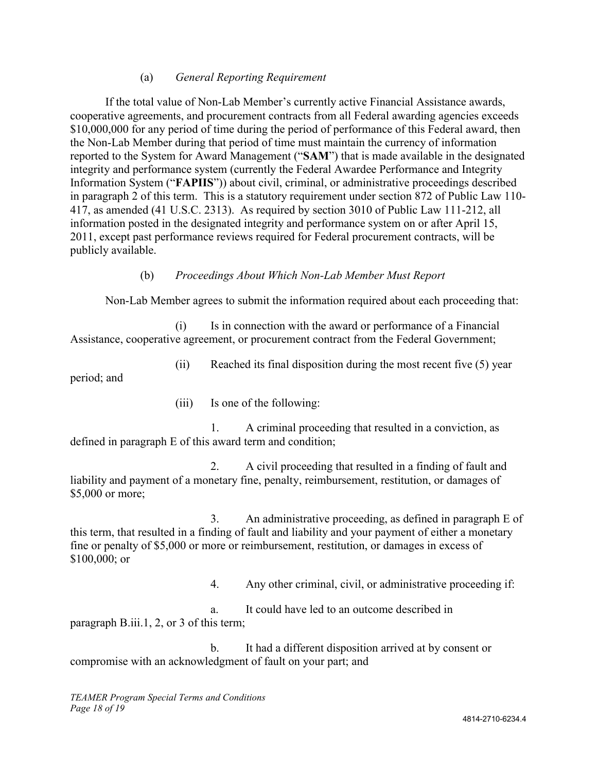#### (a) *General Reporting Requirement*

If the total value of Non-Lab Member's currently active Financial Assistance awards, cooperative agreements, and procurement contracts from all Federal awarding agencies exceeds \$10,000,000 for any period of time during the period of performance of this Federal award, then the Non-Lab Member during that period of time must maintain the currency of information reported to the System for Award Management ("**SAM**") that is made available in the designated integrity and performance system (currently the Federal Awardee Performance and Integrity Information System ("**FAPIIS**")) about civil, criminal, or administrative proceedings described in paragraph 2 of this term. This is a statutory requirement under section 872 of Public Law 110- 417, as amended (41 U.S.C. 2313). As required by section 3010 of Public Law 111-212, all information posted in the designated integrity and performance system on or after April 15, 2011, except past performance reviews required for Federal procurement contracts, will be publicly available.

#### (b) *Proceedings About Which Non-Lab Member Must Report*

Non-Lab Member agrees to submit the information required about each proceeding that:

(i) Is in connection with the award or performance of a Financial Assistance, cooperative agreement, or procurement contract from the Federal Government;

(ii) Reached its final disposition during the most recent five (5) year

period; and

(iii) Is one of the following:

1. A criminal proceeding that resulted in a conviction, as defined in paragraph E of this award term and condition;

2. A civil proceeding that resulted in a finding of fault and liability and payment of a monetary fine, penalty, reimbursement, restitution, or damages of \$5,000 or more;

3. An administrative proceeding, as defined in paragraph E of this term, that resulted in a finding of fault and liability and your payment of either a monetary fine or penalty of \$5,000 or more or reimbursement, restitution, or damages in excess of \$100,000; or

4. Any other criminal, civil, or administrative proceeding if:

a. It could have led to an outcome described in paragraph B.iii.1, 2, or 3 of this term;

b. It had a different disposition arrived at by consent or compromise with an acknowledgment of fault on your part; and